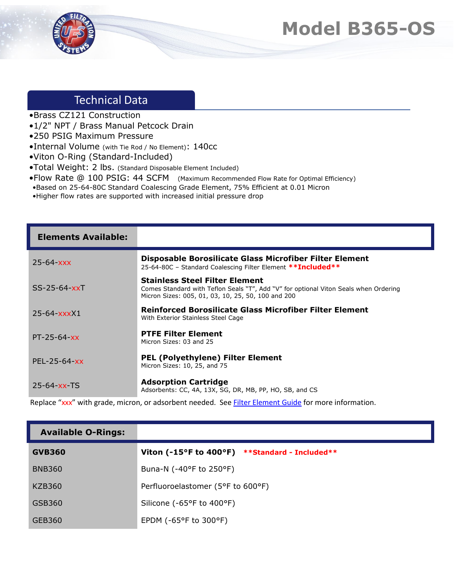## **Model B365-OS**



## Technical Data

- •Brass CZ121 Construction
- •1/2" NPT / Brass Manual Petcock Drain
- •250 PSIG Maximum Pressure
- •Internal Volume (with Tie Rod / No Element): 140cc
- •Viton O-Ring (Standard-Included)
- •Total Weight: 2 lbs. (Standard Disposable Element Included)
- •Flow Rate @ 100 PSIG: 44 SCFM (Maximum Recommended Flow Rate for Optimal Efficiency)
- •Based on 25-64-80C Standard Coalescing Grade Element, 75% Efficient at 0.01 Micron
- •Higher flow rates are supported with increased initial pressure drop

| <b>Elements Available:</b> |                                                                                                                                                                                     |
|----------------------------|-------------------------------------------------------------------------------------------------------------------------------------------------------------------------------------|
| $25 - 64 - xxx$            | Disposable Borosilicate Glass Microfiber Filter Element<br>25-64-80C - Standard Coalescing Filter Element ** Included**                                                             |
| $SS-25-64-xxT$             | <b>Stainless Steel Filter Element</b><br>Comes Standard with Teflon Seals "T", Add "V" for optional Viton Seals when Ordering<br>Micron Sizes: 005, 01, 03, 10, 25, 50, 100 and 200 |
| $25 - 64 - x x x X1$       | Reinforced Borosilicate Glass Microfiber Filter Element<br>With Exterior Stainless Steel Cage                                                                                       |
| $PT - 25 - 64 - xx$        | <b>PTFE Filter Element</b><br>Micron Sizes: 03 and 25                                                                                                                               |
| $PEL - 25 - 64 - xx$       | <b>PEL (Polyethylene) Filter Element</b><br>Micron Sizes: 10, 25, and 75                                                                                                            |
| $25 - 64 - xx - TS$        | <b>Adsorption Cartridge</b><br>Adsorbents: CC, 4A, 13X, SG, DR, MB, PP, HO, SB, and CS                                                                                              |

Replace "xxx" with grade, micron, or adsorbent needed. See [Filter Element Guide](https://unitedfiltration.com/filter-element-guide/) for more information.

| <b>Available O-Rings:</b> |                                                |
|---------------------------|------------------------------------------------|
| <b>GVB360</b>             | Viton (-15°F to 400°F) **Standard - Included** |
| <b>BNB360</b>             | Buna-N (-40°F to 250°F)                        |
| KZB360                    | Perfluoroelastomer (5°F to 600°F)              |
| GSB360                    | Silicone (-65°F to 400°F)                      |
| GEB360                    | EPDM ( $-65^{\circ}$ F to 300 $^{\circ}$ F)    |